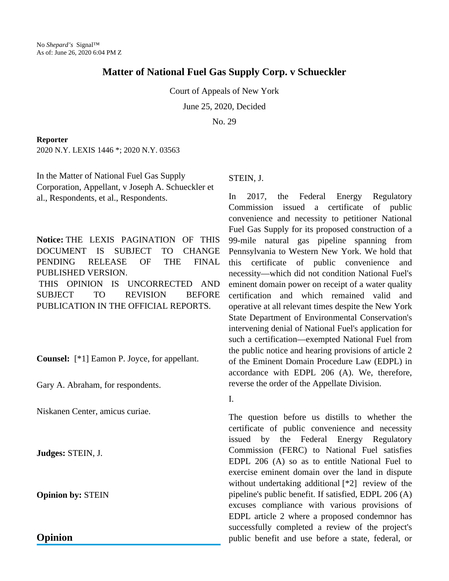# **Matter of National Fuel Gas Supply Corp. v Schueckler**

Court of Appeals of New York

June 25, 2020, Decided

No. 29

#### **Reporter**

2020 N.Y. LEXIS 1446 \*; 2020 N.Y. 03563

In the Matter of National Fuel Gas Supply Corporation, Appellant, v Joseph A. Schueckler et al., Respondents, et al., Respondents.

**Notice:** THE LEXIS PAGINATION OF THIS DOCUMENT IS SUBJECT TO CHANGE PENDING RELEASE OF THE FINAL PUBLISHED VERSION. THIS OPINION IS UNCORRECTED AND SUBJECT TO REVISION BEFORE

PUBLICATION IN THE OFFICIAL REPORTS.

**Counsel:** [\*1] Eamon P. Joyce, for appellant.

Gary A. Abraham, for respondents.

Niskanen Center, amicus curiae.

**Judges:** STEIN, J.

**Opinion by:** STEIN

**Opinion**

### STEIN, J.

In 2017, the Federal Energy Regulatory Commission issued a certificate of public convenience and necessity to petitioner National Fuel Gas Supply for its proposed construction of a 99-mile natural gas pipeline spanning from Pennsylvania to Western New York. We hold that this certificate of public convenience and necessity—which did not condition National Fuel's eminent domain power on receipt of a water quality certification and which remained valid and operative at all relevant times despite the New York State Department of Environmental Conservation's intervening denial of National Fuel's application for such a certification—exempted National Fuel from the public notice and hearing provisions of article 2 of the Eminent Domain Procedure Law (EDPL) in accordance with EDPL 206 (A). We, therefore, reverse the order of the Appellate Division.

I.

The question before us distills to whether the certificate of public convenience and necessity issued by the Federal Energy Regulatory Commission (FERC) to National Fuel satisfies EDPL 206 (A) so as to entitle National Fuel to exercise eminent domain over the land in dispute without undertaking additional [\*2] review of the pipeline's public benefit. If satisfied, EDPL 206 (A) excuses compliance with various provisions of EDPL article 2 where a proposed condemnor has successfully completed a review of the project's public benefit and use before a state, federal, or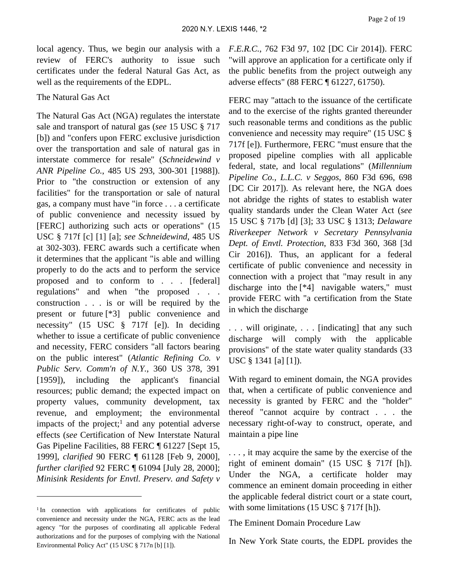local agency. Thus, we begin our analysis with a review of FERC's authority to issue such certificates under the federal Natural Gas Act, as well as the requirements of the EDPL.

### The Natural Gas Act

The Natural Gas Act (NGA) regulates the interstate sale and transport of natural gas (*see* 15 USC § 717 [b]) and "confers upon FERC exclusive jurisdiction over the transportation and sale of natural gas in interstate commerce for resale" (*Schneidewind v ANR Pipeline Co.*, 485 US 293, 300-301 [1988]). Prior to "the construction or extension of any facilities" for the transportation or sale of natural gas, a company must have "in force . . . a certificate of public convenience and necessity issued by [FERC] authorizing such acts or operations" (15 USC § 717f [c] [1] [a]; *see Schneidewind*, 485 US at 302-303). FERC awards such a certificate when it determines that the applicant "is able and willing properly to do the acts and to perform the service proposed and to conform to . . . [federal] regulations" and when "the proposed . . . construction . . . is or will be required by the present or future [\*3] public convenience and necessity" (15 USC § 717f [e]). In deciding whether to issue a certificate of public convenience and necessity, FERC considers "all factors bearing on the public interest" (*Atlantic Refining Co. v Public Serv. Comm'n of N.Y.*, 360 US 378, 391 [1959]), including the applicant's financial resources; public demand; the expected impact on property values, community development, tax revenue, and employment; the environmental impacts of the project;<sup>1</sup> and any potential adverse effects (*see* Certification of New Interstate Natural Gas Pipeline Facilities, 88 FERC ¶ 61227 [Sept 15, 1999], *clarified* 90 FERC ¶ 61128 [Feb 9, 2000], *further clarified* 92 FERC ¶ 61094 [July 28, 2000]; *Minisink Residents for Envtl. Preserv. and Safety v* 

*F.E.R.C.*, 762 F3d 97, 102 [DC Cir 2014]). FERC "will approve an application for a certificate only if the public benefits from the project outweigh any adverse effects" (88 FERC ¶ 61227, 61750).

FERC may "attach to the issuance of the certificate and to the exercise of the rights granted thereunder such reasonable terms and conditions as the public convenience and necessity may require" (15 USC § 717f [e]). Furthermore, FERC "must ensure that the proposed pipeline complies with all applicable federal, state, and local regulations" (*Millennium Pipeline Co., L.L.C. v Seggos*, 860 F3d 696, 698 [DC Cir 2017]). As relevant here, the NGA does not abridge the rights of states to establish water quality standards under the Clean Water Act (*see* 15 USC § 717b [d] [3]; 33 USC § 1313; *Delaware Riverkeeper Network v Secretary Pennsylvania Dept. of Envtl. Protection*, 833 F3d 360, 368 [3d Cir 2016]). Thus, an applicant for a federal certificate of public convenience and necessity in connection with a project that "may result in any discharge into the [\*4] navigable waters," must provide FERC with "a certification from the State in which the discharge

. . . will originate, . . . [indicating] that any such discharge will comply with the applicable provisions" of the state water quality standards (33 USC § 1341 [a] [1]).

With regard to eminent domain, the NGA provides that, when a certificate of public convenience and necessity is granted by FERC and the "holder" thereof "cannot acquire by contract . . . the necessary right-of-way to construct, operate, and maintain a pipe line

. . . , it may acquire the same by the exercise of the right of eminent domain" (15 USC § 717f [h]). Under the NGA, a certificate holder may commence an eminent domain proceeding in either the applicable federal district court or a state court, with some limitations (15 USC § 717f [h]).

The Eminent Domain Procedure Law

In New York State courts, the EDPL provides the

<sup>&</sup>lt;sup>1</sup>In connection with applications for certificates of public convenience and necessity under the NGA, FERC acts as the lead agency "for the purposes of coordinating all applicable Federal authorizations and for the purposes of complying with the National Environmental Policy Act" (15 USC § 717n [b] [1]).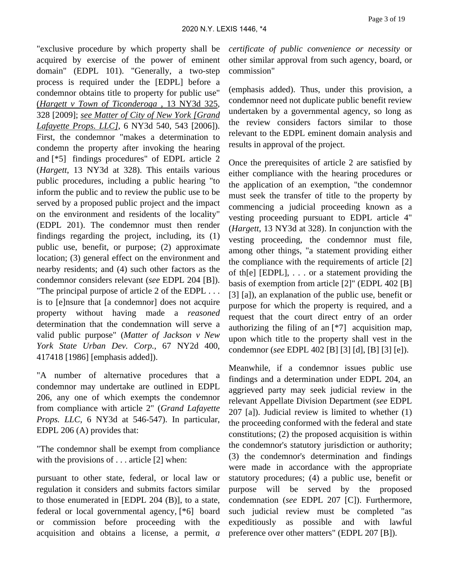"exclusive procedure by which property shall be acquired by exercise of the power of eminent domain" (EDPL 101). "Generally, a two-step process is required under the [EDPL] before a condemnor obtains title to property for public use" (*Hargett v Town of Ticonderoga* , 13 NY3d 325, 328 [2009]; *see Matter of City of New York [Grand Lafayette Props. LLC]*, 6 NY3d 540, 543 [2006]). First, the condemnor "makes a determination to condemn the property after invoking the hearing and [\*5] findings procedures" of EDPL article 2 (*Hargett*, 13 NY3d at 328). This entails various public procedures, including a public hearing "to inform the public and to review the public use to be served by a proposed public project and the impact on the environment and residents of the locality" (EDPL 201). The condemnor must then render findings regarding the project, including, its (1) public use, benefit, or purpose; (2) approximate location; (3) general effect on the environment and nearby residents; and (4) such other factors as the condemnor considers relevant (*see* EDPL 204 [B]). "The principal purpose of article 2 of the EDPL . . . is to [e]nsure that [a condemnor] does not acquire property without having made a *reasoned* determination that the condemnation will serve a valid public purpose" (*Matter of Jackson v New York State Urban Dev. Corp.*, 67 NY2d 400, 417418 [1986] [emphasis added]).

"A number of alternative procedures that a condemnor may undertake are outlined in EDPL 206, any one of which exempts the condemnor from compliance with article 2" (*Grand Lafayette Props. LLC*, 6 NY3d at 546-547). In particular, EDPL 206 (A) provides that:

"The condemnor shall be exempt from compliance with the provisions of . . . article [2] when:

pursuant to other state, federal, or local law or regulation it considers and submits factors similar to those enumerated in [EDPL 204 (B)], to a state, federal or local governmental agency, [\*6] board or commission before proceeding with the acquisition and obtains a license, a permit, *a* 

*certificate of public convenience or necessity* or other similar approval from such agency, board, or commission"

(emphasis added). Thus, under this provision, a condemnor need not duplicate public benefit review undertaken by a governmental agency, so long as the review considers factors similar to those relevant to the EDPL eminent domain analysis and results in approval of the project.

Once the prerequisites of article 2 are satisfied by either compliance with the hearing procedures or the application of an exemption, "the condemnor must seek the transfer of title to the property by commencing a judicial proceeding known as a vesting proceeding pursuant to EDPL article 4" (*Hargett*, 13 NY3d at 328). In conjunction with the vesting proceeding, the condemnor must file, among other things, "a statement providing either the compliance with the requirements of article [2] of the  $[EDPL]$ , ... or a statement providing the basis of exemption from article [2]" (EDPL 402 [B] [3] [a]), an explanation of the public use, benefit or purpose for which the property is required, and a request that the court direct entry of an order authorizing the filing of an  $[*/]$  acquisition map, upon which title to the property shall vest in the condemnor (*see* EDPL 402 [B] [3] [d], [B] [3] [e]).

Meanwhile, if a condemnor issues public use findings and a determination under EDPL 204, an aggrieved party may seek judicial review in the relevant Appellate Division Department (*see* EDPL 207 [a]). Judicial review is limited to whether (1) the proceeding conformed with the federal and state constitutions; (2) the proposed acquisition is within the condemnor's statutory jurisdiction or authority; (3) the condemnor's determination and findings were made in accordance with the appropriate statutory procedures; (4) a public use, benefit or purpose will be served by the proposed condemnation (*see* EDPL 207 [C]). Furthermore, such judicial review must be completed "as expeditiously as possible and with lawful preference over other matters" (EDPL 207 [B]).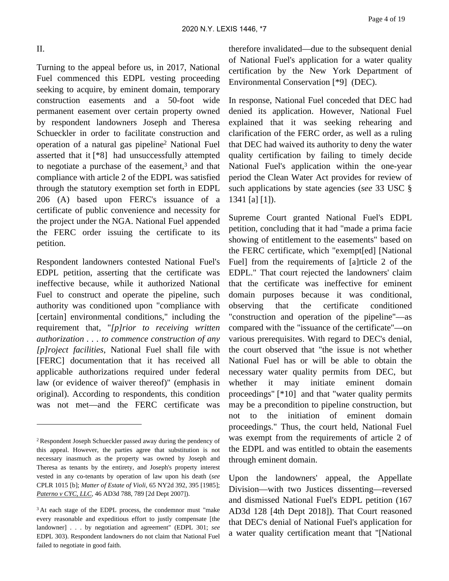### II.

Turning to the appeal before us, in 2017, National Fuel commenced this EDPL vesting proceeding seeking to acquire, by eminent domain, temporary construction easements and a 50-foot wide permanent easement over certain property owned by respondent landowners Joseph and Theresa Schueckler in order to facilitate construction and operation of a natural gas pipeline<sup>2</sup> National Fuel asserted that it [\*8] had unsuccessfully attempted to negotiate a purchase of the easement,<sup>3</sup> and that compliance with article 2 of the EDPL was satisfied through the statutory exemption set forth in EDPL 206 (A) based upon FERC's issuance of a certificate of public convenience and necessity for the project under the NGA. National Fuel appended the FERC order issuing the certificate to its petition.

Respondent landowners contested National Fuel's EDPL petition, asserting that the certificate was ineffective because, while it authorized National Fuel to construct and operate the pipeline, such authority was conditioned upon "compliance with [certain] environmental conditions," including the requirement that, "*[p]rior to receiving written authorization . . . to commence construction of any [p]roject facilities*, National Fuel shall file with [FERC] documentation that it has received all applicable authorizations required under federal law (or evidence of waiver thereof)" (emphasis in original). According to respondents, this condition was not met—and the FERC certificate was

therefore invalidated—due to the subsequent denial of National Fuel's application for a water quality certification by the New York Department of Environmental Conservation [\*9] (DEC).

In response, National Fuel conceded that DEC had denied its application. However, National Fuel explained that it was seeking rehearing and clarification of the FERC order, as well as a ruling that DEC had waived its authority to deny the water quality certification by failing to timely decide National Fuel's application within the one-year period the Clean Water Act provides for review of such applications by state agencies (*see* 33 USC § 1341 [a] [1]).

Supreme Court granted National Fuel's EDPL petition, concluding that it had "made a prima facie showing of entitlement to the easements" based on the FERC certificate, which "exempt[ed] [National Fuel] from the requirements of [a]rticle 2 of the EDPL." That court rejected the landowners' claim that the certificate was ineffective for eminent domain purposes because it was conditional, observing that the certificate conditioned "construction and operation of the pipeline"—as compared with the "issuance of the certificate"—on various prerequisites. With regard to DEC's denial, the court observed that "the issue is not whether National Fuel has or will be able to obtain the necessary water quality permits from DEC, but whether it may initiate eminent domain proceedings" [\*10] and that "water quality permits may be a precondition to pipeline construction, but not to the initiation of eminent domain proceedings." Thus, the court held, National Fuel was exempt from the requirements of article 2 of the EDPL and was entitled to obtain the easements through eminent domain.

Upon the landowners' appeal, the Appellate Division—with two Justices dissenting—reversed and dismissed National Fuel's EDPL petition (167 AD3d 128 [4th Dept 2018]). That Court reasoned that DEC's denial of National Fuel's application for a water quality certification meant that "[National

<sup>2</sup>Respondent Joseph Schueckler passed away during the pendency of this appeal. However, the parties agree that substitution is not necessary inasmuch as the property was owned by Joseph and Theresa as tenants by the entirety, and Joseph's property interest vested in any co-tenants by operation of law upon his death (*see* CPLR 1015 [b]; *Matter of Estate of Violi*, 65 NY2d 392, 395 [1985]; *Paterno v CYC, LLC*, 46 AD3d 788, 789 [2d Dept 2007]).

<sup>&</sup>lt;sup>3</sup>At each stage of the EDPL process, the condemnor must "make every reasonable and expeditious effort to justly compensate [the landowner] . . . by negotiation and agreement" (EDPL 301; *see* EDPL 303). Respondent landowners do not claim that National Fuel failed to negotiate in good faith.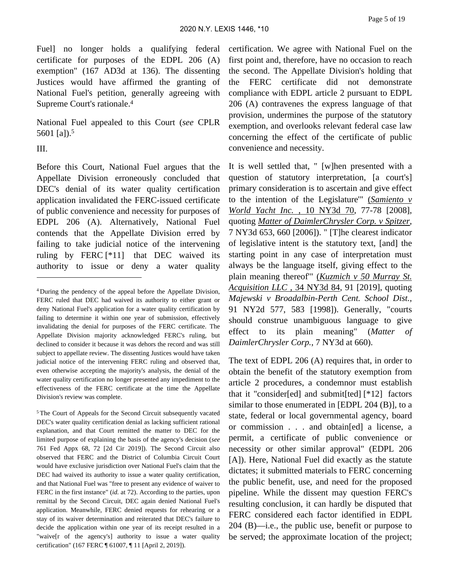Page 5 of 19

Fuel] no longer holds a qualifying federal certificate for purposes of the EDPL 206 (A) exemption" (167 AD3d at 136). The dissenting Justices would have affirmed the granting of National Fuel's petition, generally agreeing with Supreme Court's rationale.<sup>4</sup>

National Fuel appealed to this Court (*see* CPLR 5601 [a]).<sup>5</sup>

Before this Court, National Fuel argues that the Appellate Division erroneously concluded that DEC's denial of its water quality certification application invalidated the FERC-issued certificate of public convenience and necessity for purposes of EDPL 206 (A). Alternatively, National Fuel contends that the Appellate Division erred by failing to take judicial notice of the intervening ruling by FERC [\*11] that DEC waived its authority to issue or deny a water quality

<sup>5</sup>The Court of Appeals for the Second Circuit subsequently vacated DEC's water quality certification denial as lacking sufficient rational explanation, and that Court remitted the matter to DEC for the limited purpose of explaining the basis of the agency's decision (*see* 761 Fed Appx 68, 72 [2d Cir 2019]). The Second Circuit also observed that FERC and the District of Columbia Circuit Court would have exclusive jurisdiction over National Fuel's claim that the DEC had waived its authority to issue a water quality certification, and that National Fuel was "free to present any evidence of waiver to FERC in the first instance" (*id.* at 72). According to the parties, upon remittal by the Second Circuit, DEC again denied National Fuel's application. Meanwhile, FERC denied requests for rehearing or a stay of its waiver determination and reiterated that DEC's failure to decide the application within one year of its receipt resulted in a "waive[r of the agency's] authority to issue a water quality certification" (167 FERC ¶ 61007, ¶ 11 [April 2, 2019]).

certification. We agree with National Fuel on the first point and, therefore, have no occasion to reach the second. The Appellate Division's holding that the FERC certificate did not demonstrate compliance with EDPL article 2 pursuant to EDPL 206 (A) contravenes the express language of that provision, undermines the purpose of the statutory exemption, and overlooks relevant federal case law concerning the effect of the certificate of public convenience and necessity.

It is well settled that, " [w]hen presented with a question of statutory interpretation, [a court's] primary consideration is to ascertain and give effect to the intention of the Legislature'" (*Samiento v World Yacht Inc.* , 10 NY3d 70, 77-78 [2008], quoting *Matter of DaimlerChrysler Corp. v Spitzer*, 7 NY3d 653, 660 [2006]). " [T]he clearest indicator of legislative intent is the statutory text, [and] the starting point in any case of interpretation must always be the language itself, giving effect to the plain meaning thereof'" (*Kuzmich v 50 Murray St. Acquisition LLC* , 34 NY3d 84, 91 [2019], quoting *Majewski v Broadalbin-Perth Cent. School Dist.*, 91 NY2d 577, 583 [1998]). Generally, "courts should construe unambiguous language to give effect to its plain meaning" (*Matter of DaimlerChrysler Corp.*, 7 NY3d at 660).

The text of EDPL 206 (A) requires that, in order to obtain the benefit of the statutory exemption from article 2 procedures, a condemnor must establish that it "consider[ed] and submit[ted] [\*12] factors similar to those enumerated in [EDPL 204 (B)], to a state, federal or local governmental agency, board or commission . . . and obtain[ed] a license, a permit, a certificate of public convenience or necessity or other similar approval" (EDPL 206 [A]). Here, National Fuel did exactly as the statute dictates; it submitted materials to FERC concerning the public benefit, use, and need for the proposed pipeline. While the dissent may question FERC's resulting conclusion, it can hardly be disputed that FERC considered each factor identified in EDPL 204 (B)—i.e., the public use, benefit or purpose to be served; the approximate location of the project;

III.

<sup>4</sup>During the pendency of the appeal before the Appellate Division, FERC ruled that DEC had waived its authority to either grant or deny National Fuel's application for a water quality certification by failing to determine it within one year of submission, effectively invalidating the denial for purposes of the FERC certificate. The Appellate Division majority acknowledged FERC's ruling, but declined to consider it because it was dehors the record and was still subject to appellate review. The dissenting Justices would have taken judicial notice of the intervening FERC ruling and observed that, even otherwise accepting the majority's analysis, the denial of the water quality certification no longer presented any impediment to the effectiveness of the FERC certificate at the time the Appellate Division's review was complete.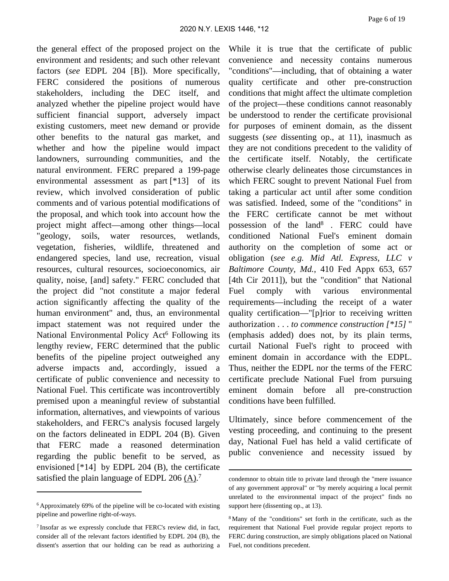the general effect of the proposed project on the environment and residents; and such other relevant factors (*see* EDPL 204 [B]). More specifically, FERC considered the positions of numerous stakeholders, including the DEC itself, and analyzed whether the pipeline project would have sufficient financial support, adversely impact existing customers, meet new demand or provide other benefits to the natural gas market, and whether and how the pipeline would impact landowners, surrounding communities, and the natural environment. FERC prepared a 199-page environmental assessment as part [\*13] of its review, which involved consideration of public comments and of various potential modifications of the proposal, and which took into account how the project might affect—among other things—local "geology, soils, water resources, wetlands, vegetation, fisheries, wildlife, threatened and endangered species, land use, recreation, visual resources, cultural resources, socioeconomics, air quality, noise, [and] safety." FERC concluded that the project did "not constitute a major federal action significantly affecting the quality of the human environment" and, thus, an environmental impact statement was not required under the National Environmental Policy Act<sup>6</sup> Following its lengthy review, FERC determined that the public benefits of the pipeline project outweighed any adverse impacts and, accordingly, issued a certificate of public convenience and necessity to National Fuel. This certificate was incontrovertibly premised upon a meaningful review of substantial information, alternatives, and viewpoints of various stakeholders, and FERC's analysis focused largely on the factors delineated in EDPL 204 (B). Given that FERC made a reasoned determination regarding the public benefit to be served, as envisioned [\*14] by EDPL 204 (B), the certificate satisfied the plain language of EDPL 206 (A).<sup>7</sup>

While it is true that the certificate of public convenience and necessity contains numerous "conditions"—including, that of obtaining a water quality certificate and other pre-construction conditions that might affect the ultimate completion of the project—these conditions cannot reasonably be understood to render the certificate provisional for purposes of eminent domain, as the dissent suggests (*see* dissenting op., at 11), inasmuch as they are not conditions precedent to the validity of the certificate itself. Notably, the certificate otherwise clearly delineates those circumstances in which FERC sought to prevent National Fuel from taking a particular act until after some condition was satisfied. Indeed, some of the "conditions" in the FERC certificate cannot be met without possession of the land<sup>8</sup>. FERC could have conditioned National Fuel's eminent domain authority on the completion of some act or obligation (*see e.g. Mid Atl. Express, LLC v Baltimore County, Md.*, 410 Fed Appx 653, 657 [4th Cir 2011]), but the "condition" that National Fuel comply with various environmental requirements—including the receipt of a water quality certification—"[p]rior to receiving written authorization . . . *to commence construction [\*15]* " (emphasis added) does not, by its plain terms, curtail National Fuel's right to proceed with eminent domain in accordance with the EDPL. Thus, neither the EDPL nor the terms of the FERC certificate preclude National Fuel from pursuing eminent domain before all pre-construction conditions have been fulfilled.

Ultimately, since before commencement of the vesting proceeding, and continuing to the present day, National Fuel has held a valid certificate of public convenience and necessity issued by

<sup>6</sup>Approximately 69% of the pipeline will be co-located with existing pipeline and powerline right-of-ways.

<sup>7</sup>Insofar as we expressly conclude that FERC's review did, in fact, consider all of the relevant factors identified by EDPL 204 (B), the dissent's assertion that our holding can be read as authorizing a

condemnor to obtain title to private land through the "mere issuance of any government approval" or "by merely acquiring a local permit unrelated to the environmental impact of the project" finds no support here (dissenting op., at 13).

<sup>8</sup>Many of the "conditions" set forth in the certificate, such as the requirement that National Fuel provide regular project reports to FERC during construction, are simply obligations placed on National Fuel, not conditions precedent.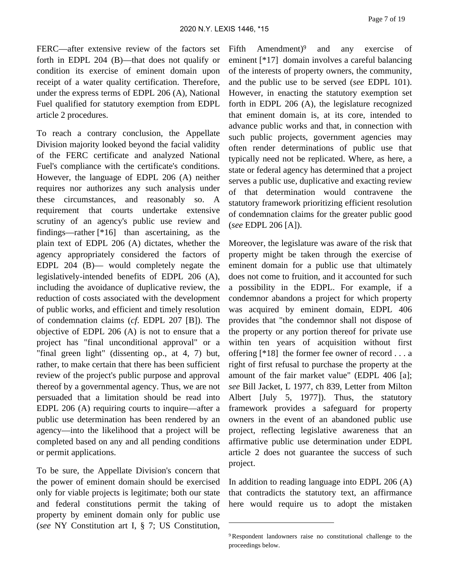FERC—after extensive review of the factors set forth in EDPL 204 (B)—that does not qualify or condition its exercise of eminent domain upon receipt of a water quality certification. Therefore, under the express terms of EDPL 206 (A), National Fuel qualified for statutory exemption from EDPL article 2 procedures.

To reach a contrary conclusion, the Appellate Division majority looked beyond the facial validity of the FERC certificate and analyzed National Fuel's compliance with the certificate's conditions. However, the language of EDPL 206 (A) neither requires nor authorizes any such analysis under these circumstances, and reasonably so. A requirement that courts undertake extensive scrutiny of an agency's public use review and findings—rather [\*16] than ascertaining, as the plain text of EDPL 206 (A) dictates, whether the agency appropriately considered the factors of EDPL 204 (B)— would completely negate the legislatively-intended benefits of EDPL 206 (A), including the avoidance of duplicative review, the reduction of costs associated with the development of public works, and efficient and timely resolution of condemnation claims (*cf*. EDPL 207 [B]). The objective of EDPL 206 (A) is not to ensure that a project has "final unconditional approval" or a "final green light" (dissenting op., at 4, 7) but, rather, to make certain that there has been sufficient review of the project's public purpose and approval thereof by a governmental agency. Thus, we are not persuaded that a limitation should be read into EDPL 206 (A) requiring courts to inquire—after a public use determination has been rendered by an agency—into the likelihood that a project will be completed based on any and all pending conditions or permit applications.

To be sure, the Appellate Division's concern that the power of eminent domain should be exercised only for viable projects is legitimate; both our state and federal constitutions permit the taking of property by eminent domain only for public use (*see* NY Constitution art I, § 7; US Constitution,

Fifth Amendment)<sup>9</sup> and any exercise of eminent [\*17] domain involves a careful balancing of the interests of property owners, the community, and the public use to be served (*see* EDPL 101). However, in enacting the statutory exemption set forth in EDPL 206 (A), the legislature recognized that eminent domain is, at its core, intended to advance public works and that, in connection with such public projects, government agencies may often render determinations of public use that typically need not be replicated. Where, as here, a state or federal agency has determined that a project serves a public use, duplicative and exacting review of that determination would contravene the statutory framework prioritizing efficient resolution of condemnation claims for the greater public good (*see* EDPL 206 [A]).

Moreover, the legislature was aware of the risk that property might be taken through the exercise of eminent domain for a public use that ultimately does not come to fruition, and it accounted for such a possibility in the EDPL. For example, if a condemnor abandons a project for which property was acquired by eminent domain, EDPL 406 provides that "the condemnor shall not dispose of the property or any portion thereof for private use within ten years of acquisition without first offering [\*18] the former fee owner of record . . . a right of first refusal to purchase the property at the amount of the fair market value" (EDPL 406 [a]; *see* Bill Jacket, L 1977, ch 839, Letter from Milton Albert [July 5, 1977]). Thus, the statutory framework provides a safeguard for property owners in the event of an abandoned public use project, reflecting legislative awareness that an affirmative public use determination under EDPL article 2 does not guarantee the success of such project.

In addition to reading language into EDPL 206 (A) that contradicts the statutory text, an affirmance here would require us to adopt the mistaken

<sup>9</sup>Respondent landowners raise no constitutional challenge to the proceedings below.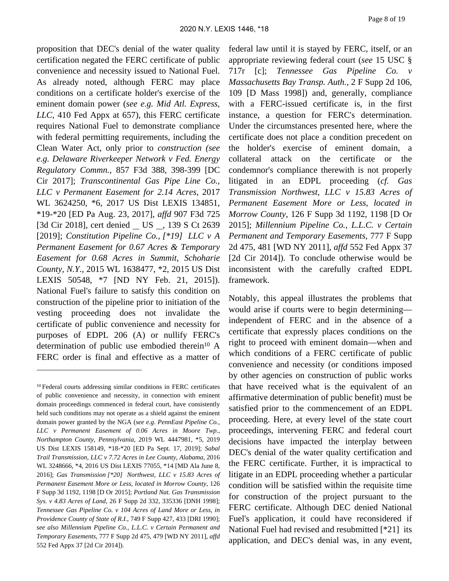proposition that DEC's denial of the water quality certification negated the FERC certificate of public convenience and necessity issued to National Fuel. As already noted, although FERC may place conditions on a certificate holder's exercise of the eminent domain power (*see e.g. Mid Atl. Express, LLC*, 410 Fed Appx at 657), this FERC certificate requires National Fuel to demonstrate compliance with federal permitting requirements, including the Clean Water Act, only prior to *construction (see e.g. Delaware Riverkeeper Network v Fed. Energy Regulatory Commn.*, 857 F3d 388, 398-399 [DC Cir 2017]; *Transcontinental Gas Pipe Line Co., LLC v Permanent Easement for 2.14 Acres*, 2017 WL 3624250, \*6, 2017 US Dist LEXIS 134851, \*19-\*20 [ED Pa Aug. 23, 2017], *affd* 907 F3d 725 [3d Cir 2018], cert denied \_ US \_, 139 S Ct 2639 [2019]; *Constitution Pipeline Co., [\*19] LLC v A Permanent Easement for 0.67 Acres & Temporary Easement for 0.68 Acres in Summit, Schoharie County, N.Y.*, 2015 WL 1638477, \*2, 2015 US Dist LEXIS 50548, \*7 [ND NY Feb. 21, 2015]). National Fuel's failure to satisfy this condition on construction of the pipeline prior to initiation of the vesting proceeding does not invalidate the certificate of public convenience and necessity for purposes of EDPL 206 (A) or nullify FERC's determination of public use embodied therein<sup>10</sup> A FERC order is final and effective as a matter of

federal law until it is stayed by FERC, itself, or an appropriate reviewing federal court (*see* 15 USC § 717r [c]; *Tennessee Gas Pipeline Co. v Massachusetts Bay Transp. Auth.*, 2 F Supp 2d 106, 109 [D Mass 1998]) and, generally, compliance with a FERC-issued certificate is, in the first instance, a question for FERC's determination. Under the circumstances presented here, where the certificate does not place a condition precedent on the holder's exercise of eminent domain, a collateral attack on the certificate or the condemnor's compliance therewith is not properly litigated in an EDPL proceeding (*cf. Gas Transmission Northwest, LLC v 15.83 Acres of Permanent Easement More or Less, located in Morrow County*, 126 F Supp 3d 1192, 1198 [D Or 2015]; *Millennium Pipeline Co., L.L.C. v Certain Permanent and Temporary Easements*, 777 F Supp 2d 475, 481 [WD NY 2011], *affd* 552 Fed Appx 37 [2d Cir 2014]). To conclude otherwise would be inconsistent with the carefully crafted EDPL framework.

Notably, this appeal illustrates the problems that would arise if courts were to begin determining independent of FERC and in the absence of a certificate that expressly places conditions on the right to proceed with eminent domain—when and which conditions of a FERC certificate of public convenience and necessity (or conditions imposed by other agencies on construction of public works that have received what is the equivalent of an affirmative determination of public benefit) must be satisfied prior to the commencement of an EDPL proceeding. Here, at every level of the state court proceedings, intervening FERC and federal court decisions have impacted the interplay between DEC's denial of the water quality certification and the FERC certificate. Further, it is impractical to litigate in an EDPL proceeding whether a particular condition will be satisfied within the requisite time for construction of the project pursuant to the FERC certificate. Although DEC denied National Fuel's application, it could have reconsidered if National Fuel had revised and resubmitted [\*21] its application, and DEC's denial was, in any event,

<sup>&</sup>lt;sup>10</sup>Federal courts addressing similar conditions in FERC certificates of public convenience and necessity, in connection with eminent domain proceedings commenced in federal court, have consistently held such conditions may not operate as a shield against the eminent domain power granted by the NGA (*see e.g. PennEast Pipeline Co., LLC v Permanent Easement of 0.06 Acres in Moore Twp., Northampton County, Pennsylvania*, 2019 WL 4447981, \*5, 2019 US Dist LEXIS 158149, \*18-\*20 [ED Pa Sept. 17, 2019]; *Sabal Trail Transmission, LLC v 7.72 Acres in Lee County, Alabama*, 2016 WL 3248666, \*4, 2016 US Dist LEXIS 77055, \*14 [MD Ala June 8, 2016]; *Gas Transmission [\*20] Northwest, LLC v 15.83 Acres of Permanent Easement More or Less, located in Morrow County*, 126 F Supp 3d 1192, 1198 [D Or 2015]; *Portland Nat. Gas Transmission Sys. v 4.83 Acres of Land*, 26 F Supp 2d 332, 335336 [DNH 1998]; *Tennessee Gas Pipeline Co. v 104 Acres of Land More or Less, in Providence County of State of R.I.*, 749 F Supp 427, 433 [DRI 1990]; *see also Millennium Pipeline Co., L.L.C. v Certain Permanent and Temporary Easements*, 777 F Supp 2d 475, 479 [WD NY 2011], *affd* 552 Fed Appx 37 [2d Cir 2014]).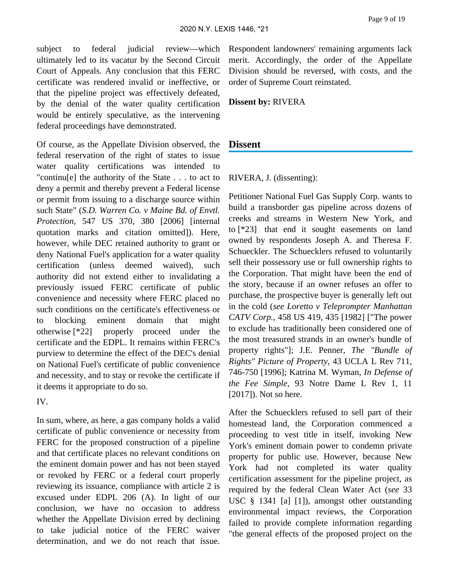subject to federal judicial review—which ultimately led to its vacatur by the Second Circuit Court of Appeals. Any conclusion that this FERC certificate was rendered invalid or ineffective, or that the pipeline project was effectively defeated, by the denial of the water quality certification would be entirely speculative, as the intervening federal proceedings have demonstrated.

Of course, as the Appellate Division observed, the federal reservation of the right of states to issue water quality certifications was intended to "continu[e] the authority of the State . . . to act to deny a permit and thereby prevent a Federal license or permit from issuing to a discharge source within such State" (*S.D. Warren Co. v Maine Bd. of Envtl. Protection*, 547 US 370, 380 [2006] [internal quotation marks and citation omitted]). Here, however, while DEC retained authority to grant or deny National Fuel's application for a water quality certification (unless deemed waived), such authority did not extend either to invalidating a previously issued FERC certificate of public convenience and necessity where FERC placed no such conditions on the certificate's effectiveness or to blocking eminent domain that might otherwise [\*22] properly proceed under the certificate and the EDPL. It remains within FERC's purview to determine the effect of the DEC's denial on National Fuel's certificate of public convenience and necessity, and to stay or revoke the certificate if it deems it appropriate to do so.

### IV.

In sum, where, as here, a gas company holds a valid certificate of public convenience or necessity from FERC for the proposed construction of a pipeline and that certificate places no relevant conditions on the eminent domain power and has not been stayed or revoked by FERC or a federal court properly reviewing its issuance, compliance with article 2 is excused under EDPL 206 (A). In light of our conclusion, we have no occasion to address whether the Appellate Division erred by declining to take judicial notice of the FERC waiver determination, and we do not reach that issue.

Respondent landowners' remaining arguments lack merit. Accordingly, the order of the Appellate Division should be reversed, with costs, and the order of Supreme Court reinstated.

## **Dissent by:** RIVERA

### **Dissent**

### RIVERA, J. (dissenting):

Petitioner National Fuel Gas Supply Corp. wants to build a transborder gas pipeline across dozens of creeks and streams in Western New York, and to [\*23] that end it sought easements on land owned by respondents Joseph A. and Theresa F. Schueckler. The Schuecklers refused to voluntarily sell their possessory use or full ownership rights to the Corporation. That might have been the end of the story, because if an owner refuses an offer to purchase, the prospective buyer is generally left out in the cold (*see Loretto v Teleprompter Manhattan CATV Corp.*, 458 US 419, 435 [1982] ["The power to exclude has traditionally been considered one of the most treasured strands in an owner's bundle of property rights"]; J.E. Penner, *The "Bundle of Rights" Picture of Property*, 43 UCLA L Rev 711, 746-750 [1996]; Katrina M. Wyman, *In Defense of the Fee Simple*, 93 Notre Dame L Rev 1, 11 [2017]). Not so here.

After the Schuecklers refused to sell part of their homestead land, the Corporation commenced a proceeding to vest title in itself, invoking New York's eminent domain power to condemn private property for public use. However, because New York had not completed its water quality certification assessment for the pipeline project, as required by the federal Clean Water Act (*see* 33 USC § 1341 [a] [1]), amongst other outstanding environmental impact reviews, the Corporation failed to provide complete information regarding "the general effects of the proposed project on the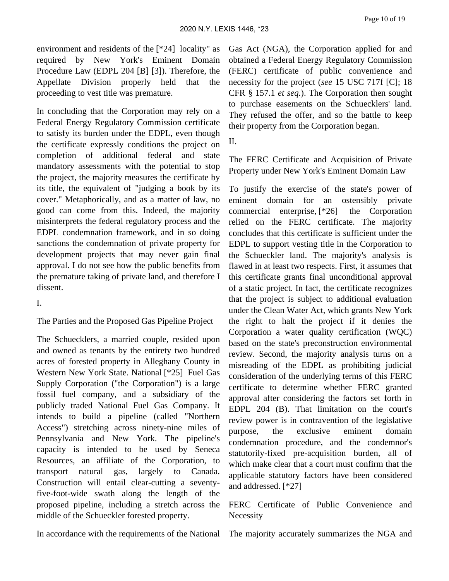environment and residents of the [\*24] locality" as required by New York's Eminent Domain Procedure Law (EDPL 204 [B] [3]). Therefore, the Appellate Division properly held that the proceeding to vest title was premature.

In concluding that the Corporation may rely on a Federal Energy Regulatory Commission certificate to satisfy its burden under the EDPL, even though the certificate expressly conditions the project on completion of additional federal and state mandatory assessments with the potential to stop the project, the majority measures the certificate by its title, the equivalent of "judging a book by its cover." Metaphorically, and as a matter of law, no good can come from this. Indeed, the majority misinterprets the federal regulatory process and the EDPL condemnation framework, and in so doing sanctions the condemnation of private property for development projects that may never gain final approval. I do not see how the public benefits from the premature taking of private land, and therefore I dissent.

I.

### The Parties and the Proposed Gas Pipeline Project

The Schuecklers, a married couple, resided upon and owned as tenants by the entirety two hundred acres of forested property in Alleghany County in Western New York State. National [\*25] Fuel Gas Supply Corporation ("the Corporation") is a large fossil fuel company, and a subsidiary of the publicly traded National Fuel Gas Company. It intends to build a pipeline (called "Northern Access") stretching across ninety-nine miles of Pennsylvania and New York. The pipeline's capacity is intended to be used by Seneca Resources, an affiliate of the Corporation, to transport natural gas, largely to Canada. Construction will entail clear-cutting a seventyfive-foot-wide swath along the length of the proposed pipeline, including a stretch across the middle of the Schueckler forested property.

In accordance with the requirements of the National

Gas Act (NGA), the Corporation applied for and obtained a Federal Energy Regulatory Commission (FERC) certificate of public convenience and necessity for the project (*see* 15 USC 717f [C]; 18 CFR § 157.1 *et seq.*). The Corporation then sought to purchase easements on the Schuecklers' land. They refused the offer, and so the battle to keep their property from the Corporation began.

II.

The FERC Certificate and Acquisition of Private Property under New York's Eminent Domain Law

To justify the exercise of the state's power of eminent domain for an ostensibly private commercial enterprise, [\*26] the Corporation relied on the FERC certificate. The majority concludes that this certificate is sufficient under the EDPL to support vesting title in the Corporation to the Schueckler land. The majority's analysis is flawed in at least two respects. First, it assumes that this certificate grants final unconditional approval of a static project. In fact, the certificate recognizes that the project is subject to additional evaluation under the Clean Water Act, which grants New York the right to halt the project if it denies the Corporation a water quality certification (WQC) based on the state's preconstruction environmental review. Second, the majority analysis turns on a misreading of the EDPL as prohibiting judicial consideration of the underlying terms of this FERC certificate to determine whether FERC granted approval after considering the factors set forth in EDPL 204 (B). That limitation on the court's review power is in contravention of the legislative purpose, the exclusive eminent domain condemnation procedure, and the condemnor's statutorily-fixed pre-acquisition burden, all of which make clear that a court must confirm that the applicable statutory factors have been considered and addressed. [\*27]

FERC Certificate of Public Convenience and **Necessity** 

The majority accurately summarizes the NGA and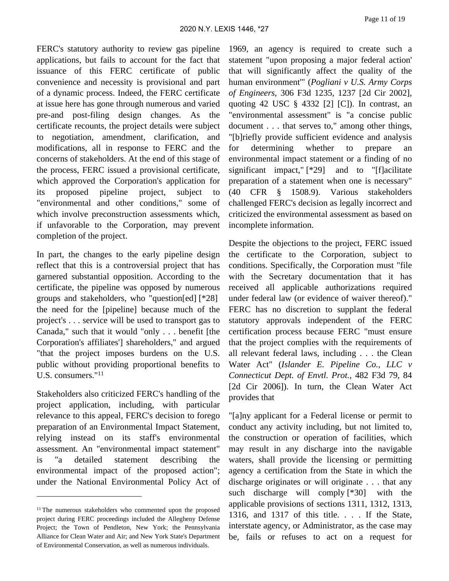FERC's statutory authority to review gas pipeline applications, but fails to account for the fact that issuance of this FERC certificate of public convenience and necessity is provisional and part of a dynamic process. Indeed, the FERC certificate at issue here has gone through numerous and varied pre-and post-filing design changes. As the certificate recounts, the project details were subject to negotiation, amendment, clarification, and modifications, all in response to FERC and the concerns of stakeholders. At the end of this stage of the process, FERC issued a provisional certificate, which approved the Corporation's application for its proposed pipeline project, subject to "environmental and other conditions," some of which involve preconstruction assessments which, if unfavorable to the Corporation, may prevent completion of the project.

In part, the changes to the early pipeline design reflect that this is a controversial project that has garnered substantial opposition. According to the certificate, the pipeline was opposed by numerous groups and stakeholders, who "question[ed] [\*28] the need for the [pipeline] because much of the project's . . . service will be used to transport gas to Canada," such that it would "only . . . benefit [the Corporation's affiliates'] shareholders," and argued "that the project imposes burdens on the U.S. public without providing proportional benefits to U.S. consumers."<sup>11</sup>

Stakeholders also criticized FERC's handling of the project application, including, with particular relevance to this appeal, FERC's decision to forego preparation of an Environmental Impact Statement, relying instead on its staff's environmental assessment. An "environmental impact statement" is "a detailed statement describing the environmental impact of the proposed action"; under the National Environmental Policy Act of

1969, an agency is required to create such a statement "upon proposing a major federal action' that will significantly affect the quality of the human environment'" (*Pogliani v U.S. Army Corps of Engineers*, 306 F3d 1235, 1237 [2d Cir 2002], quoting 42 USC  $\S$  4332 [2] [C]). In contrast, an "environmental assessment" is "a concise public document . . . that serves to," among other things, "[b]riefly provide sufficient evidence and analysis for determining whether to prepare an environmental impact statement or a finding of no significant impact," [\*29] and to "[f]acilitate preparation of a statement when one is necessary" (40 CFR § 1508.9). Various stakeholders challenged FERC's decision as legally incorrect and criticized the environmental assessment as based on incomplete information.

Despite the objections to the project, FERC issued the certificate to the Corporation, subject to conditions. Specifically, the Corporation must "file with the Secretary documentation that it has received all applicable authorizations required under federal law (or evidence of waiver thereof)." FERC has no discretion to supplant the federal statutory approvals independent of the FERC certification process because FERC "must ensure that the project complies with the requirements of all relevant federal laws, including . . . the Clean Water Act" (*Islander E. Pipeline Co., LLC v Connecticut Dept. of Envtl. Prot.*, 482 F3d 79, 84 [2d Cir 2006]). In turn, the Clean Water Act provides that

"[a]ny applicant for a Federal license or permit to conduct any activity including, but not limited to, the construction or operation of facilities, which may result in any discharge into the navigable waters, shall provide the licensing or permitting agency a certification from the State in which the discharge originates or will originate . . . that any such discharge will comply [\*30] with the applicable provisions of sections 1311, 1312, 1313, 1316, and 1317 of this title. . . . If the State, interstate agency, or Administrator, as the case may be, fails or refuses to act on a request for

<sup>&</sup>lt;sup>11</sup>The numerous stakeholders who commented upon the proposed project during FERC proceedings included the Allegheny Defense Project; the Town of Pendleton, New York; the Pennsylvania Alliance for Clean Water and Air; and New York State's Department of Environmental Conservation, as well as numerous individuals.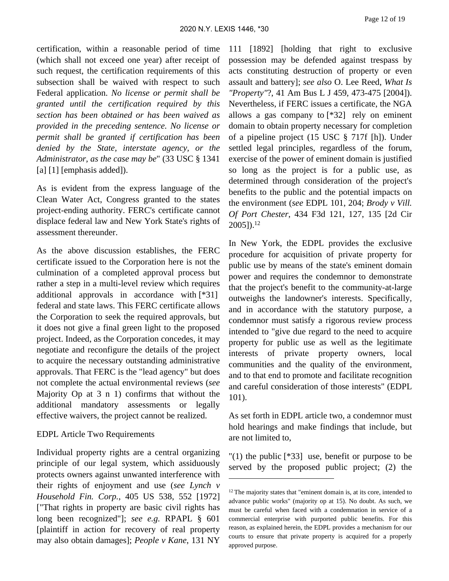certification, within a reasonable period of time (which shall not exceed one year) after receipt of such request, the certification requirements of this subsection shall be waived with respect to such Federal application. *No license or permit shall be granted until the certification required by this section has been obtained or has been waived as provided in the preceding sentence. No license or permit shall be granted if certification has been denied by the State, interstate agency, or the Administrator, as the case may be*" (33 USC § 1341 [a] [1] [emphasis added]).

As is evident from the express language of the Clean Water Act, Congress granted to the states project-ending authority. FERC's certificate cannot displace federal law and New York State's rights of assessment thereunder.

As the above discussion establishes, the FERC certificate issued to the Corporation here is not the culmination of a completed approval process but rather a step in a multi-level review which requires additional approvals in accordance with [\*31] federal and state laws. This FERC certificate allows the Corporation to seek the required approvals, but it does not give a final green light to the proposed project. Indeed, as the Corporation concedes, it may negotiate and reconfigure the details of the project to acquire the necessary outstanding administrative approvals. That FERC is the "lead agency" but does not complete the actual environmental reviews (*see* Majority Op at 3 n 1) confirms that without the additional mandatory assessments or legally effective waivers, the project cannot be realized.

### EDPL Article Two Requirements

Individual property rights are a central organizing principle of our legal system, which assiduously protects owners against unwanted interference with their rights of enjoyment and use (*see Lynch v Household Fin. Corp.*, 405 US 538, 552 [1972] ["That rights in property are basic civil rights has long been recognized"]; *see e.g.* RPAPL § 601 [plaintiff in action for recovery of real property may also obtain damages]; *People v Kane*, 131 NY

111 [1892] [holding that right to exclusive possession may be defended against trespass by acts constituting destruction of property or even assault and battery]; *see also* O. Lee Reed, *What Is "Property"*?, 41 Am Bus L J 459, 473-475 [2004]). Nevertheless, if FERC issues a certificate, the NGA allows a gas company to [\*32] rely on eminent domain to obtain property necessary for completion of a pipeline project (15 USC § 717f [h]). Under settled legal principles, regardless of the forum, exercise of the power of eminent domain is justified so long as the project is for a public use, as determined through consideration of the project's benefits to the public and the potential impacts on the environment (*see* EDPL 101, 204; *Brody v Vill. Of Port Chester*, 434 F3d 121, 127, 135 [2d Cir 2005]).<sup>12</sup>

In New York, the EDPL provides the exclusive procedure for acquisition of private property for public use by means of the state's eminent domain power and requires the condemnor to demonstrate that the project's benefit to the community-at-large outweighs the landowner's interests. Specifically, and in accordance with the statutory purpose, a condemnor must satisfy a rigorous review process intended to "give due regard to the need to acquire property for public use as well as the legitimate interests of private property owners, local communities and the quality of the environment, and to that end to promote and facilitate recognition and careful consideration of those interests" (EDPL 101).

As set forth in EDPL article two, a condemnor must hold hearings and make findings that include, but are not limited to,

"(1) the public  $[$ \*33] use, benefit or purpose to be served by the proposed public project; (2) the

<sup>&</sup>lt;sup>12</sup> The majority states that "eminent domain is, at its core, intended to advance public works" (majority op at 15). No doubt. As such, we must be careful when faced with a condemnation in service of a commercial enterprise with purported public benefits. For this reason, as explained herein, the EDPL provides a mechanism for our courts to ensure that private property is acquired for a properly approved purpose.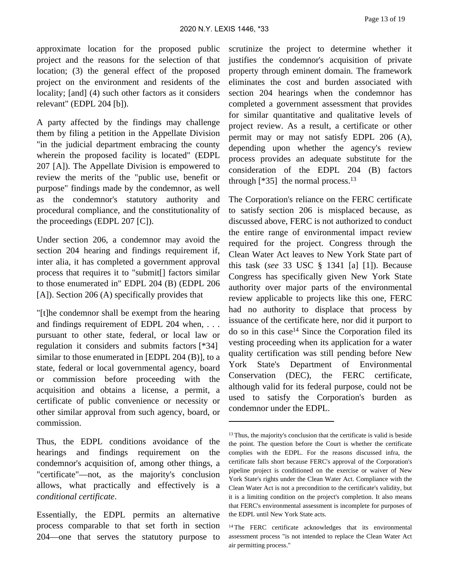approximate location for the proposed public project and the reasons for the selection of that location; (3) the general effect of the proposed project on the environment and residents of the locality; [and] (4) such other factors as it considers relevant" (EDPL 204 [b]).

A party affected by the findings may challenge them by filing a petition in the Appellate Division "in the judicial department embracing the county wherein the proposed facility is located" (EDPL 207 [A]). The Appellate Division is empowered to review the merits of the "public use, benefit or purpose" findings made by the condemnor, as well as the condemnor's statutory authority and procedural compliance, and the constitutionality of the proceedings (EDPL 207 [C]).

Under section 206, a condemnor may avoid the section 204 hearing and findings requirement if, inter alia, it has completed a government approval process that requires it to "submit[] factors similar to those enumerated in" EDPL 204 (B) (EDPL 206 [A]). Section 206 (A) specifically provides that

"[t]he condemnor shall be exempt from the hearing and findings requirement of EDPL 204 when, . . . pursuant to other state, federal, or local law or regulation it considers and submits factors [\*34] similar to those enumerated in [EDPL 204 (B)], to a state, federal or local governmental agency, board or commission before proceeding with the acquisition and obtains a license, a permit, a certificate of public convenience or necessity or other similar approval from such agency, board, or commission.

Thus, the EDPL conditions avoidance of the hearings and findings requirement on the condemnor's acquisition of, among other things, a "certificate"—not, as the majority's conclusion allows, what practically and effectively is a *conditional certificate*.

Essentially, the EDPL permits an alternative process comparable to that set forth in section 204—one that serves the statutory purpose to

scrutinize the project to determine whether it justifies the condemnor's acquisition of private property through eminent domain. The framework eliminates the cost and burden associated with section 204 hearings when the condemnor has completed a government assessment that provides for similar quantitative and qualitative levels of project review. As a result, a certificate or other permit may or may not satisfy EDPL 206 (A), depending upon whether the agency's review process provides an adequate substitute for the consideration of the EDPL 204 (B) factors through  $[$ \*35] the normal process.<sup>13</sup>

The Corporation's reliance on the FERC certificate to satisfy section 206 is misplaced because, as discussed above, FERC is not authorized to conduct the entire range of environmental impact review required for the project. Congress through the Clean Water Act leaves to New York State part of this task (*see* 33 USC § 1341 [a] [1]). Because Congress has specifically given New York State authority over major parts of the environmental review applicable to projects like this one, FERC had no authority to displace that process by issuance of the certificate here, nor did it purport to do so in this case<sup>14</sup> Since the Corporation filed its vesting proceeding when its application for a water quality certification was still pending before New York State's Department of Environmental Conservation (DEC), the FERC certificate, although valid for its federal purpose, could not be used to satisfy the Corporation's burden as condemnor under the EDPL.

<sup>&</sup>lt;sup>13</sup> Thus, the majority's conclusion that the certificate is valid is beside the point. The question before the Court is whether the certificate complies with the EDPL. For the reasons discussed infra, the certificate falls short because FERC's approval of the Corporation's pipeline project is conditioned on the exercise or waiver of New York State's rights under the Clean Water Act. Compliance with the Clean Water Act is not a precondition to the certificate's validity, but it is a limiting condition on the project's completion. It also means that FERC's environmental assessment is incomplete for purposes of the EDPL until New York State acts.

<sup>&</sup>lt;sup>14</sup>The FERC certificate acknowledges that its environmental assessment process "is not intended to replace the Clean Water Act air permitting process."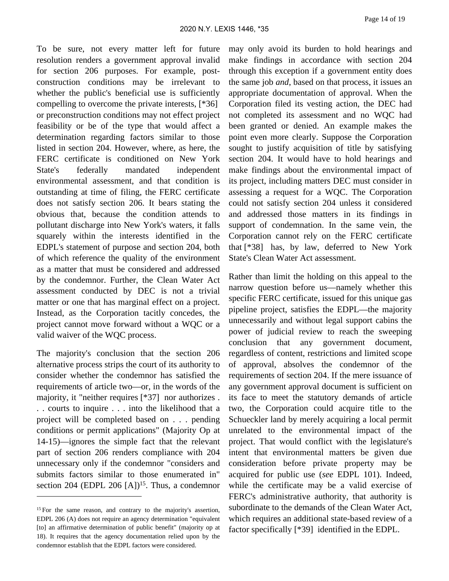To be sure, not every matter left for future resolution renders a government approval invalid for section 206 purposes. For example, postconstruction conditions may be irrelevant to whether the public's beneficial use is sufficiently compelling to overcome the private interests, [\*36] or preconstruction conditions may not effect project feasibility or be of the type that would affect a determination regarding factors similar to those listed in section 204. However, where, as here, the FERC certificate is conditioned on New York State's federally mandated independent environmental assessment, and that condition is outstanding at time of filing, the FERC certificate does not satisfy section 206. It bears stating the obvious that, because the condition attends to pollutant discharge into New York's waters, it falls squarely within the interests identified in the EDPL's statement of purpose and section 204, both of which reference the quality of the environment as a matter that must be considered and addressed by the condemnor. Further, the Clean Water Act assessment conducted by DEC is not a trivial matter or one that has marginal effect on a project. Instead, as the Corporation tacitly concedes, the project cannot move forward without a WQC or a valid waiver of the WQC process.

The majority's conclusion that the section 206 alternative process strips the court of its authority to consider whether the condemnor has satisfied the requirements of article two—or, in the words of the majority, it "neither requires [\*37] nor authorizes . . . courts to inquire . . . into the likelihood that a project will be completed based on . . . pending conditions or permit applications" (Majority Op at 14-15)—ignores the simple fact that the relevant part of section 206 renders compliance with 204 unnecessary only if the condemnor "considers and submits factors similar to those enumerated in" section 204 (EDPL 206 [A])<sup>15</sup>. Thus, a condemnor may only avoid its burden to hold hearings and make findings in accordance with section 204 through this exception if a government entity does the same job *and*, based on that process, it issues an appropriate documentation of approval. When the Corporation filed its vesting action, the DEC had not completed its assessment and no WQC had been granted or denied. An example makes the point even more clearly. Suppose the Corporation sought to justify acquisition of title by satisfying section 204. It would have to hold hearings and make findings about the environmental impact of its project, including matters DEC must consider in assessing a request for a WQC. The Corporation could not satisfy section 204 unless it considered and addressed those matters in its findings in support of condemnation. In the same vein, the Corporation cannot rely on the FERC certificate that [\*38] has, by law, deferred to New York State's Clean Water Act assessment.

Rather than limit the holding on this appeal to the narrow question before us—namely whether this specific FERC certificate, issued for this unique gas pipeline project, satisfies the EDPL—the majority unnecessarily and without legal support cabins the power of judicial review to reach the sweeping conclusion that any government document, regardless of content, restrictions and limited scope of approval, absolves the condemnor of the requirements of section 204. If the mere issuance of any government approval document is sufficient on its face to meet the statutory demands of article two, the Corporation could acquire title to the Schueckler land by merely acquiring a local permit unrelated to the environmental impact of the project. That would conflict with the legislature's intent that environmental matters be given due consideration before private property may be acquired for public use (*see* EDPL 101). Indeed, while the certificate may be a valid exercise of FERC's administrative authority, that authority is subordinate to the demands of the Clean Water Act, which requires an additional state-based review of a factor specifically [\*39] identified in the EDPL.

<sup>&</sup>lt;sup>15</sup> For the same reason, and contrary to the majority's assertion, EDPL 206 (A) does not require an agency determination "equivalent [to] an affirmative determination of public benefit" (majority op at 18). It requires that the agency documentation relied upon by the condemnor establish that the EDPL factors were considered.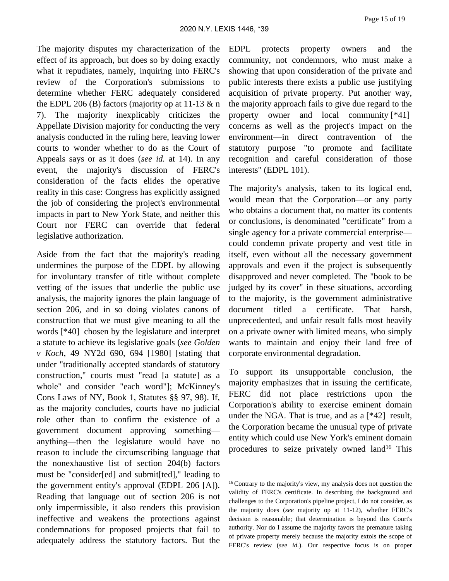The majority disputes my characterization of the effect of its approach, but does so by doing exactly what it repudiates, namely, inquiring into FERC's review of the Corporation's submissions to determine whether FERC adequately considered the EDPL 206 (B) factors (majority op at 11-13  $\&$  n 7). The majority inexplicably criticizes the Appellate Division majority for conducting the very analysis conducted in the ruling here, leaving lower courts to wonder whether to do as the Court of Appeals says or as it does (*see id.* at 14). In any event, the majority's discussion of FERC's consideration of the facts elides the operative reality in this case: Congress has explicitly assigned the job of considering the project's environmental impacts in part to New York State, and neither this Court nor FERC can override that federal legislative authorization.

Aside from the fact that the majority's reading undermines the purpose of the EDPL by allowing for involuntary transfer of title without complete vetting of the issues that underlie the public use analysis, the majority ignores the plain language of section 206, and in so doing violates canons of construction that we must give meaning to all the words [\*40] chosen by the legislature and interpret a statute to achieve its legislative goals (*see Golden v Koch*, 49 NY2d 690, 694 [1980] [stating that under "traditionally accepted standards of statutory construction," courts must "read [a statute] as a whole" and consider "each word"]; McKinney's Cons Laws of NY, Book 1, Statutes §§ 97, 98). If, as the majority concludes, courts have no judicial role other than to confirm the existence of a government document approving something anything—then the legislature would have no reason to include the circumscribing language that the nonexhaustive list of section 204(b) factors must be "consider[ed] and submit[ted]," leading to the government entity's approval (EDPL 206 [A]). Reading that language out of section 206 is not only impermissible, it also renders this provision ineffective and weakens the protections against condemnations for proposed projects that fail to adequately address the statutory factors. But the

EDPL protects property owners and the community, not condemnors, who must make a showing that upon consideration of the private and public interests there exists a public use justifying acquisition of private property. Put another way, the majority approach fails to give due regard to the property owner and local community [\*41] concerns as well as the project's impact on the environment—in direct contravention of the statutory purpose "to promote and facilitate recognition and careful consideration of those interests" (EDPL 101).

The majority's analysis, taken to its logical end, would mean that the Corporation—or any party who obtains a document that, no matter its contents or conclusions, is denominated "certificate" from a single agency for a private commercial enterprise could condemn private property and vest title in itself, even without all the necessary government approvals and even if the project is subsequently disapproved and never completed. The "book to be judged by its cover" in these situations, according to the majority, is the government administrative document titled a certificate. That harsh, unprecedented, and unfair result falls most heavily on a private owner with limited means, who simply wants to maintain and enjoy their land free of corporate environmental degradation.

To support its unsupportable conclusion, the majority emphasizes that in issuing the certificate, FERC did not place restrictions upon the Corporation's ability to exercise eminent domain under the NGA. That is true, and as a [\*42] result, the Corporation became the unusual type of private entity which could use New York's eminent domain procedures to seize privately owned land<sup>16</sup> This

<sup>16</sup>Contrary to the majority's view, my analysis does not question the validity of FERC's certificate. In describing the background and challenges to the Corporation's pipeline project, I do not consider, as the majority does (*see* majority op at 11-12), whether FERC's decision is reasonable; that determination is beyond this Court's authority. Nor do I assume the majority favors the premature taking of private property merely because the majority extols the scope of FERC's review (*see id.*). Our respective focus is on proper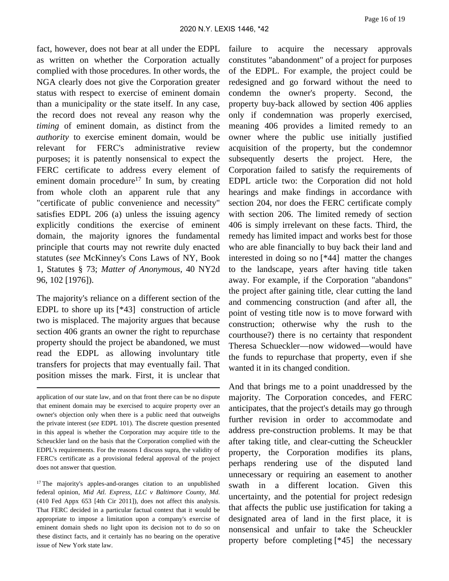fact, however, does not bear at all under the EDPL as written on whether the Corporation actually complied with those procedures. In other words, the NGA clearly does not give the Corporation greater status with respect to exercise of eminent domain than a municipality or the state itself. In any case, the record does not reveal any reason why the *timing* of eminent domain, as distinct from the *authority* to exercise eminent domain, would be relevant for FERC's administrative review purposes; it is patently nonsensical to expect the FERC certificate to address every element of eminent domain procedure<sup>17</sup> In sum, by creating from whole cloth an apparent rule that any "certificate of public convenience and necessity" satisfies EDPL 206 (a) unless the issuing agency explicitly conditions the exercise of eminent domain, the majority ignores the fundamental principle that courts may not rewrite duly enacted statutes (*see* McKinney's Cons Laws of NY, Book 1, Statutes § 73; *Matter of Anonymous*, 40 NY2d 96, 102 [1976]).

The majority's reliance on a different section of the EDPL to shore up its [\*43] construction of article two is misplaced. The majority argues that because section 406 grants an owner the right to repurchase property should the project be abandoned, we must read the EDPL as allowing involuntary title transfers for projects that may eventually fail. That position misses the mark. First, it is unclear that failure to acquire the necessary approvals constitutes "abandonment" of a project for purposes of the EDPL. For example, the project could be redesigned and go forward without the need to condemn the owner's property. Second, the property buy-back allowed by section 406 applies only if condemnation was properly exercised, meaning 406 provides a limited remedy to an owner where the public use initially justified acquisition of the property, but the condemnor subsequently deserts the project. Here, the Corporation failed to satisfy the requirements of EDPL article two: the Corporation did not hold hearings and make findings in accordance with section 204, nor does the FERC certificate comply with section 206. The limited remedy of section 406 is simply irrelevant on these facts. Third, the remedy has limited impact and works best for those who are able financially to buy back their land and interested in doing so no [\*44] matter the changes to the landscape, years after having title taken away. For example, if the Corporation "abandons" the project after gaining title, clear cutting the land and commencing construction (and after all, the point of vesting title now is to move forward with construction; otherwise why the rush to the courthouse?) there is no certainty that respondent Theresa Schueckler—now widowed—would have the funds to repurchase that property, even if she wanted it in its changed condition.

And that brings me to a point unaddressed by the majority. The Corporation concedes, and FERC anticipates, that the project's details may go through further revision in order to accommodate and address pre-construction problems. It may be that after taking title, and clear-cutting the Scheuckler property, the Corporation modifies its plans, perhaps rendering use of the disputed land unnecessary or requiring an easement to another swath in a different location. Given this uncertainty, and the potential for project redesign that affects the public use justification for taking a designated area of land in the first place, it is nonsensical and unfair to take the Scheuckler property before completing [\*45] the necessary

application of our state law, and on that front there can be no dispute that eminent domain may be exercised to acquire property over an owner's objection only when there is a public need that outweighs the private interest (*see* EDPL 101). The discrete question presented in this appeal is whether the Corporation may acquire title to the Scheuckler land on the basis that the Corporation complied with the EDPL's requirements. For the reasons I discuss supra, the validity of FERC's certificate as a provisional federal approval of the project does not answer that question.

<sup>&</sup>lt;sup>17</sup>The majority's apples-and-oranges citation to an unpublished federal opinion, *Mid Atl. Express, LLC v Baltimore County, Md*. (410 Fed Appx 653 [4th Cir 2011]), does not affect this analysis. That FERC decided in a particular factual context that it would be appropriate to impose a limitation upon a company's exercise of eminent domain sheds no light upon its decision not to do so on these distinct facts, and it certainly has no bearing on the operative issue of New York state law.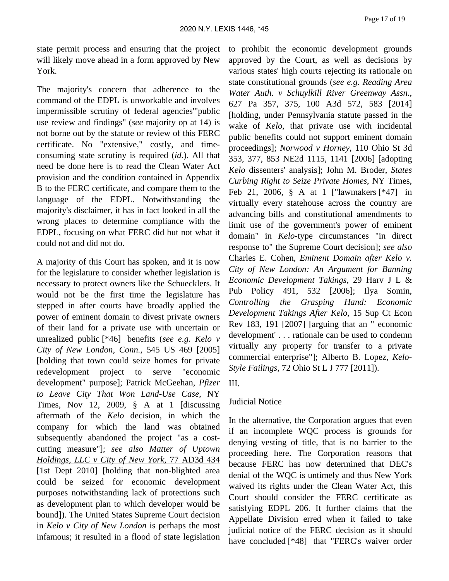state permit process and ensuring that the project will likely move ahead in a form approved by New York.

The majority's concern that adherence to the command of the EDPL is unworkable and involves impermissible scrutiny of federal agencies'"public use review and findings" (*see* majority op at 14) is not borne out by the statute or review of this FERC certificate. No "extensive," costly, and timeconsuming state scrutiny is required (*id.*). All that need be done here is to read the Clean Water Act provision and the condition contained in Appendix B to the FERC certificate, and compare them to the language of the EDPL. Notwithstanding the majority's disclaimer, it has in fact looked in all the wrong places to determine compliance with the EDPL, focusing on what FERC did but not what it could not and did not do.

A majority of this Court has spoken, and it is now for the legislature to consider whether legislation is necessary to protect owners like the Schuecklers. It would not be the first time the legislature has stepped in after courts have broadly applied the power of eminent domain to divest private owners of their land for a private use with uncertain or unrealized public [\*46] benefits (*see e.g. Kelo v City of New London, Conn.*, 545 US 469 [2005] [holding that town could seize homes for private redevelopment project to serve "economic development" purpose]; Patrick McGeehan, *Pfizer to Leave City That Won Land-Use Case*, NY Times, Nov 12, 2009, § A at 1 [discussing aftermath of the *Kelo* decision, in which the company for which the land was obtained subsequently abandoned the project "as a costcutting measure"]; *see also Matter of Uptown Holdings, LLC v City of New York*, 77 AD3d 434 [1st Dept 2010] [holding that non-blighted area could be seized for economic development purposes notwithstanding lack of protections such as development plan to which developer would be bound]). The United States Supreme Court decision in *Kelo v City of New London* is perhaps the most infamous; it resulted in a flood of state legislation

to prohibit the economic development grounds approved by the Court, as well as decisions by various states' high courts rejecting its rationale on state constitutional grounds (*see e.g. Reading Area Water Auth. v Schuylkill River Greenway Assn.*, 627 Pa 357, 375, 100 A3d 572, 583 [2014] [holding, under Pennsylvania statute passed in the wake of *Kelo*, that private use with incidental public benefits could not support eminent domain proceedings]; *Norwood v Horney*, 110 Ohio St 3d 353, 377, 853 NE2d 1115, 1141 [2006] [adopting *Kelo* dissenters' analysis]; John M. Broder, *States Curbing Right to Seize Private Homes*, NY Times, Feb 21, 2006, § A at 1 ["lawmakers [\*47] in virtually every statehouse across the country are advancing bills and constitutional amendments to limit use of the government's power of eminent domain" in *Kelo*-type circumstances "in direct response to" the Supreme Court decision]; *see also* Charles E. Cohen, *Eminent Domain after Kelo v. City of New London: An Argument for Banning Economic Development Takings*, 29 Harv J L & Pub Policy 491, 532 [2006]; Ilya Somin, *Controlling the Grasping Hand: Economic Development Takings After Kelo*, 15 Sup Ct Econ Rev 183, 191 [2007] [arguing that an " economic development' . . . rationale can be used to condemn virtually any property for transfer to a private commercial enterprise"]; Alberto B. Lopez, *Kelo-Style Failings*, 72 Ohio St L J 777 [2011]).

### III.

### Judicial Notice

In the alternative, the Corporation argues that even if an incomplete WQC process is grounds for denying vesting of title, that is no barrier to the proceeding here. The Corporation reasons that because FERC has now determined that DEC's denial of the WQC is untimely and thus New York waived its rights under the Clean Water Act, this Court should consider the FERC certificate as satisfying EDPL 206. It further claims that the Appellate Division erred when it failed to take judicial notice of the FERC decision as it should have concluded [\*48] that "FERC's waiver order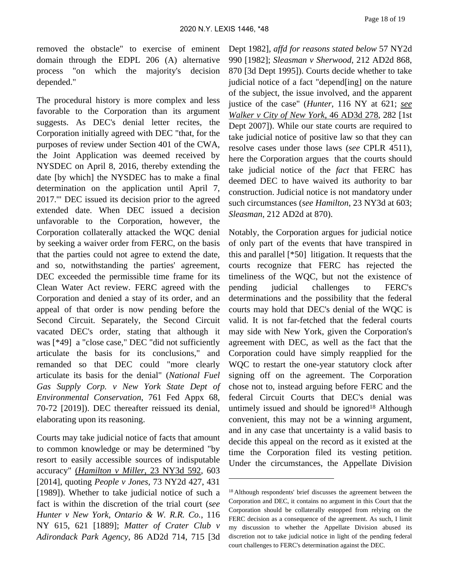removed the obstacle" to exercise of eminent domain through the EDPL 206 (A) alternative process "on which the majority's decision depended."

The procedural history is more complex and less favorable to the Corporation than its argument suggests. As DEC's denial letter recites, the Corporation initially agreed with DEC "that, for the purposes of review under Section 401 of the CWA, the Joint Application was deemed received by NYSDEC on April 8, 2016, thereby extending the date [by which] the NYSDEC has to make a final determination on the application until April 7, 2017.'" DEC issued its decision prior to the agreed extended date. When DEC issued a decision unfavorable to the Corporation, however, the Corporation collaterally attacked the WQC denial by seeking a waiver order from FERC, on the basis that the parties could not agree to extend the date, and so, notwithstanding the parties' agreement, DEC exceeded the permissible time frame for its Clean Water Act review. FERC agreed with the Corporation and denied a stay of its order, and an appeal of that order is now pending before the Second Circuit. Separately, the Second Circuit vacated DEC's order, stating that although it was [\*49] a "close case," DEC "did not sufficiently articulate the basis for its conclusions," and remanded so that DEC could "more clearly articulate its basis for the denial" (*National Fuel Gas Supply Corp. v New York State Dept of Environmental Conservation*, 761 Fed Appx 68, 70-72 [2019]). DEC thereafter reissued its denial, elaborating upon its reasoning.

Courts may take judicial notice of facts that amount to common knowledge or may be determined "by resort to easily accessible sources of indisputable accuracy" (*Hamilton v Miller*, 23 NY3d 592, 603 [2014], quoting *People v Jones*, 73 NY2d 427, 431 [1989]). Whether to take judicial notice of such a fact is within the discretion of the trial court (*see Hunter v New York, Ontario & W. R.R. Co.*, 116 NY 615, 621 [1889]; *Matter of Crater Club v Adirondack Park Agency*, 86 AD2d 714, 715 [3d Dept 1982], *affd for reasons stated below* 57 NY2d 990 [1982]; *Sleasman v Sherwood*, 212 AD2d 868, 870 [3d Dept 1995]). Courts decide whether to take judicial notice of a fact "depend[ing] on the nature of the subject, the issue involved, and the apparent justice of the case" (*Hunter*, 116 NY at 621; *see Walker v City of New York*, 46 AD3d 278, 282 [1st Dept 2007]). While our state courts are required to take judicial notice of positive law so that they can resolve cases under those laws (*see* CPLR 4511), here the Corporation argues that the courts should take judicial notice of the *fact* that FERC has deemed DEC to have waived its authority to bar construction. Judicial notice is not mandatory under such circumstances (*see Hamilton*, 23 NY3d at 603; *Sleasman*, 212 AD2d at 870).

Notably, the Corporation argues for judicial notice of only part of the events that have transpired in this and parallel [\*50] litigation. It requests that the courts recognize that FERC has rejected the timeliness of the WQC, but not the existence of pending judicial challenges to FERC's determinations and the possibility that the federal courts may hold that DEC's denial of the WQC is valid. It is not far-fetched that the federal courts may side with New York, given the Corporation's agreement with DEC, as well as the fact that the Corporation could have simply reapplied for the WQC to restart the one-year statutory clock after signing off on the agreement. The Corporation chose not to, instead arguing before FERC and the federal Circuit Courts that DEC's denial was untimely issued and should be ignored<sup>18</sup> Although convenient, this may not be a winning argument, and in any case that uncertainty is a valid basis to decide this appeal on the record as it existed at the time the Corporation filed its vesting petition. Under the circumstances, the Appellate Division

<sup>18</sup>Although respondents' brief discusses the agreement between the Corporation and DEC, it contains no argument in this Court that the Corporation should be collaterally estopped from relying on the FERC decision as a consequence of the agreement. As such, I limit my discussion to whether the Appellate Division abused its discretion not to take judicial notice in light of the pending federal court challenges to FERC's determination against the DEC.